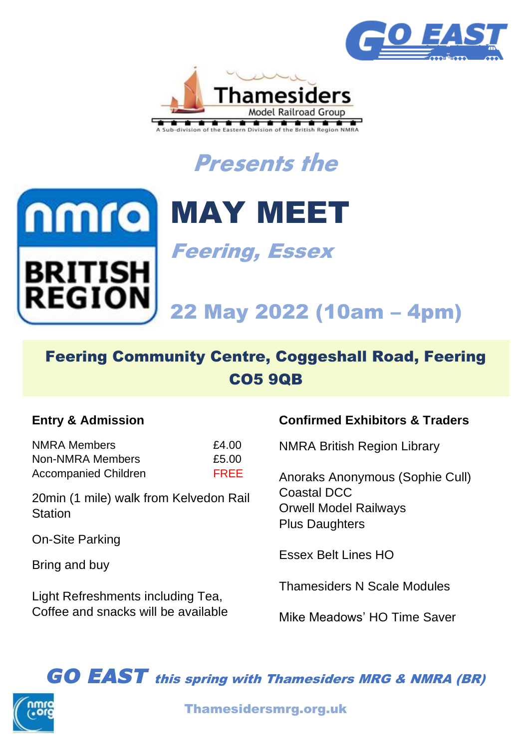









Feering, Essex

# 22 May 2022 (10am – 4pm)

# Feering Community Centre, Coggeshall Road, Feering CO5 9QB

## **Entry & Admission**

NMRA Members 64.00 Non-NMRA Members 65.00 Accompanied Children FREE

20min (1 mile) walk from Kelvedon Rail **Station** 

On-Site Parking

Bring and buy

Light Refreshments including Tea, Coffee and snacks will be available

## **Confirmed Exhibitors & Traders**

NMRA British Region Library

Anoraks Anonymous (Sophie Cull) Coastal DCC Orwell Model Railways Plus Daughters

Essex Belt Lines HO

Thamesiders N Scale Modules

Mike Meadows' HO Time Saver

*GO EAST* this spring with Thamesiders MRG & NMRA (BR)



Thamesidersmrg.org.uk